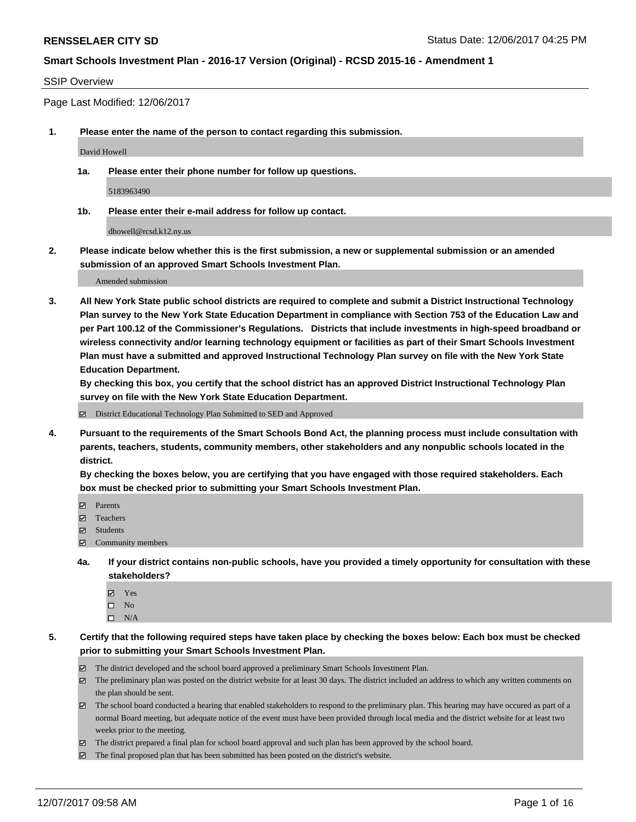#### SSIP Overview

Page Last Modified: 12/06/2017

**1. Please enter the name of the person to contact regarding this submission.**

David Howell

**1a. Please enter their phone number for follow up questions.**

5183963490

**1b. Please enter their e-mail address for follow up contact.**

dhowell@rcsd.k12.ny.us

**2. Please indicate below whether this is the first submission, a new or supplemental submission or an amended submission of an approved Smart Schools Investment Plan.**

Amended submission

**3. All New York State public school districts are required to complete and submit a District Instructional Technology Plan survey to the New York State Education Department in compliance with Section 753 of the Education Law and per Part 100.12 of the Commissioner's Regulations. Districts that include investments in high-speed broadband or wireless connectivity and/or learning technology equipment or facilities as part of their Smart Schools Investment Plan must have a submitted and approved Instructional Technology Plan survey on file with the New York State Education Department.** 

**By checking this box, you certify that the school district has an approved District Instructional Technology Plan survey on file with the New York State Education Department.**

District Educational Technology Plan Submitted to SED and Approved

**4. Pursuant to the requirements of the Smart Schools Bond Act, the planning process must include consultation with parents, teachers, students, community members, other stakeholders and any nonpublic schools located in the district.** 

**By checking the boxes below, you are certifying that you have engaged with those required stakeholders. Each box must be checked prior to submitting your Smart Schools Investment Plan.**

- **Parents**
- Teachers
- **☑** Students
- $\Xi$  Community members
- **4a. If your district contains non-public schools, have you provided a timely opportunity for consultation with these stakeholders?**
	- **Ø** Yes
	- $\square$  No
	- $\square$  N/A

**5. Certify that the following required steps have taken place by checking the boxes below: Each box must be checked prior to submitting your Smart Schools Investment Plan.**

- The district developed and the school board approved a preliminary Smart Schools Investment Plan.
- The preliminary plan was posted on the district website for at least 30 days. The district included an address to which any written comments on the plan should be sent.
- The school board conducted a hearing that enabled stakeholders to respond to the preliminary plan. This hearing may have occured as part of a normal Board meeting, but adequate notice of the event must have been provided through local media and the district website for at least two weeks prior to the meeting.
- The district prepared a final plan for school board approval and such plan has been approved by the school board.
- $\boxtimes$  The final proposed plan that has been submitted has been posted on the district's website.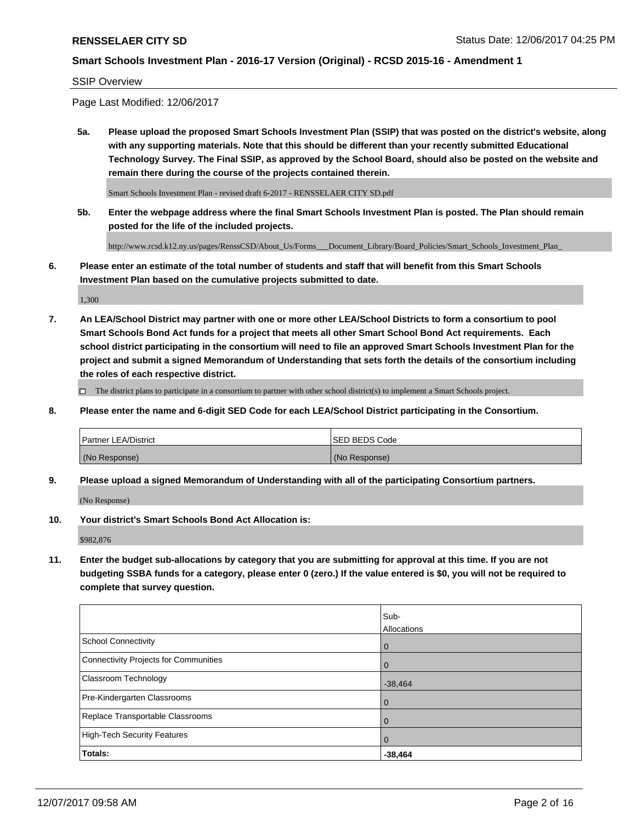#### SSIP Overview

Page Last Modified: 12/06/2017

**5a. Please upload the proposed Smart Schools Investment Plan (SSIP) that was posted on the district's website, along with any supporting materials. Note that this should be different than your recently submitted Educational Technology Survey. The Final SSIP, as approved by the School Board, should also be posted on the website and remain there during the course of the projects contained therein.**

Smart Schools Investment Plan - revised draft 6-2017 - RENSSELAER CITY SD.pdf

**5b. Enter the webpage address where the final Smart Schools Investment Plan is posted. The Plan should remain posted for the life of the included projects.**

http://www.rcsd.k12.ny.us/pages/RenssCSD/About\_Us/Forms\_\_\_Document\_Library/Board\_Policies/Smart\_Schools\_Investment\_Plan\_

**6. Please enter an estimate of the total number of students and staff that will benefit from this Smart Schools Investment Plan based on the cumulative projects submitted to date.**

1,300

**7. An LEA/School District may partner with one or more other LEA/School Districts to form a consortium to pool Smart Schools Bond Act funds for a project that meets all other Smart School Bond Act requirements. Each school district participating in the consortium will need to file an approved Smart Schools Investment Plan for the project and submit a signed Memorandum of Understanding that sets forth the details of the consortium including the roles of each respective district.**

 $\Box$  The district plans to participate in a consortium to partner with other school district(s) to implement a Smart Schools project.

**8. Please enter the name and 6-digit SED Code for each LEA/School District participating in the Consortium.**

| <b>Partner LEA/District</b> | <b>ISED BEDS Code</b> |
|-----------------------------|-----------------------|
| (No Response)               | (No Response)         |

**9. Please upload a signed Memorandum of Understanding with all of the participating Consortium partners.**

(No Response)

**10. Your district's Smart Schools Bond Act Allocation is:**

\$982,876

**11. Enter the budget sub-allocations by category that you are submitting for approval at this time. If you are not budgeting SSBA funds for a category, please enter 0 (zero.) If the value entered is \$0, you will not be required to complete that survey question.**

|                                              | Sub-<br>Allocations |
|----------------------------------------------|---------------------|
| <b>School Connectivity</b>                   | $\mathbf 0$         |
| <b>Connectivity Projects for Communities</b> | 0                   |
| Classroom Technology                         | $-38,464$           |
| Pre-Kindergarten Classrooms                  | 0                   |
| Replace Transportable Classrooms             | $\mathbf 0$         |
| <b>High-Tech Security Features</b>           | $\overline{0}$      |
| Totals:                                      | $-38,464$           |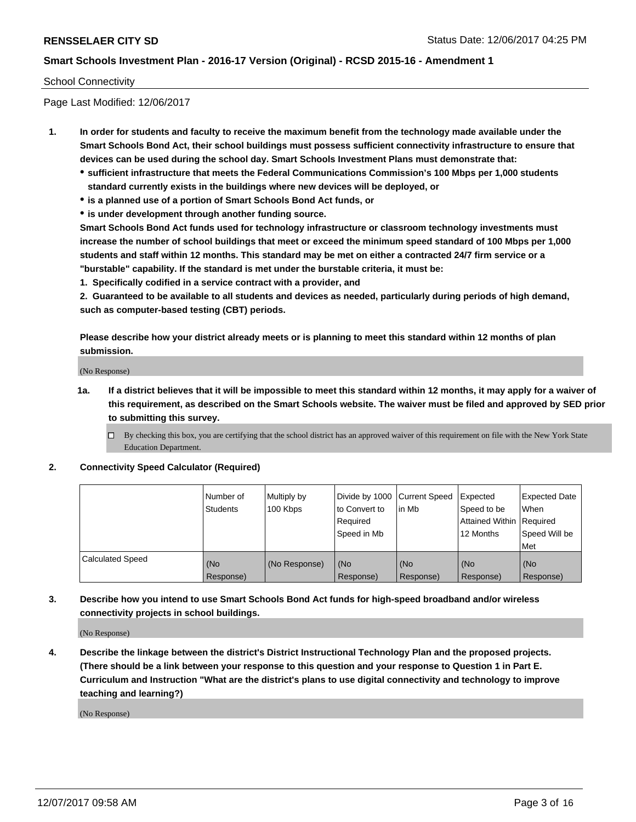#### School Connectivity

Page Last Modified: 12/06/2017

- **1. In order for students and faculty to receive the maximum benefit from the technology made available under the Smart Schools Bond Act, their school buildings must possess sufficient connectivity infrastructure to ensure that devices can be used during the school day. Smart Schools Investment Plans must demonstrate that:**
	- **sufficient infrastructure that meets the Federal Communications Commission's 100 Mbps per 1,000 students standard currently exists in the buildings where new devices will be deployed, or**
	- **is a planned use of a portion of Smart Schools Bond Act funds, or**
	- **is under development through another funding source.**

**Smart Schools Bond Act funds used for technology infrastructure or classroom technology investments must increase the number of school buildings that meet or exceed the minimum speed standard of 100 Mbps per 1,000 students and staff within 12 months. This standard may be met on either a contracted 24/7 firm service or a "burstable" capability. If the standard is met under the burstable criteria, it must be:**

**1. Specifically codified in a service contract with a provider, and**

**2. Guaranteed to be available to all students and devices as needed, particularly during periods of high demand, such as computer-based testing (CBT) periods.**

**Please describe how your district already meets or is planning to meet this standard within 12 months of plan submission.**

(No Response)

**1a. If a district believes that it will be impossible to meet this standard within 12 months, it may apply for a waiver of this requirement, as described on the Smart Schools website. The waiver must be filed and approved by SED prior to submitting this survey.**

**2. Connectivity Speed Calculator (Required)**

|                         | Number of<br><b>Students</b> | Multiply by<br>100 Kbps | Divide by 1000   Current Speed<br>to Convert to<br>Required<br>Speed in Mb | lin Mb           | Expected<br>Speed to be<br>Attained Within   Required<br>12 Months | <b>Expected Date</b><br>When<br>Speed Will be<br>Met |
|-------------------------|------------------------------|-------------------------|----------------------------------------------------------------------------|------------------|--------------------------------------------------------------------|------------------------------------------------------|
| <b>Calculated Speed</b> | (No<br>Response)             | (No Response)           | (No<br>Response)                                                           | (No<br>Response) | (No<br>Response)                                                   | (No<br>Response)                                     |

**3. Describe how you intend to use Smart Schools Bond Act funds for high-speed broadband and/or wireless connectivity projects in school buildings.**

(No Response)

**4. Describe the linkage between the district's District Instructional Technology Plan and the proposed projects. (There should be a link between your response to this question and your response to Question 1 in Part E. Curriculum and Instruction "What are the district's plans to use digital connectivity and technology to improve teaching and learning?)**

(No Response)

 $\Box$  By checking this box, you are certifying that the school district has an approved waiver of this requirement on file with the New York State Education Department.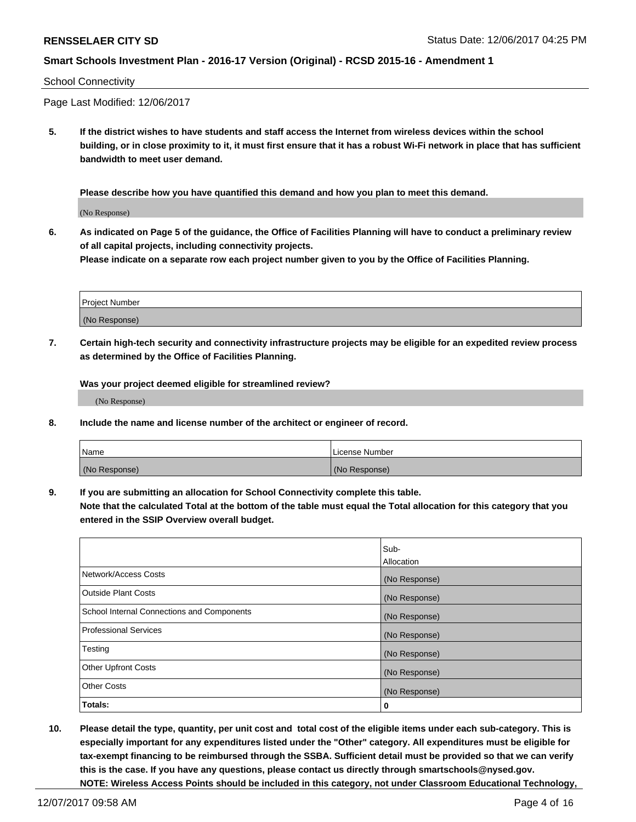#### School Connectivity

Page Last Modified: 12/06/2017

**5. If the district wishes to have students and staff access the Internet from wireless devices within the school building, or in close proximity to it, it must first ensure that it has a robust Wi-Fi network in place that has sufficient bandwidth to meet user demand.**

**Please describe how you have quantified this demand and how you plan to meet this demand.**

(No Response)

**6. As indicated on Page 5 of the guidance, the Office of Facilities Planning will have to conduct a preliminary review of all capital projects, including connectivity projects.**

**Please indicate on a separate row each project number given to you by the Office of Facilities Planning.**

| Project Number |  |
|----------------|--|
|                |  |
| (No Response)  |  |

**7. Certain high-tech security and connectivity infrastructure projects may be eligible for an expedited review process as determined by the Office of Facilities Planning.**

**Was your project deemed eligible for streamlined review?**

(No Response)

**8. Include the name and license number of the architect or engineer of record.**

| Name          | License Number |
|---------------|----------------|
| (No Response) | (No Response)  |

**9. If you are submitting an allocation for School Connectivity complete this table.**

**Note that the calculated Total at the bottom of the table must equal the Total allocation for this category that you entered in the SSIP Overview overall budget.** 

|                                            | Sub-          |
|--------------------------------------------|---------------|
|                                            | Allocation    |
| Network/Access Costs                       | (No Response) |
| <b>Outside Plant Costs</b>                 | (No Response) |
| School Internal Connections and Components | (No Response) |
| <b>Professional Services</b>               | (No Response) |
| Testing                                    | (No Response) |
| <b>Other Upfront Costs</b>                 | (No Response) |
| <b>Other Costs</b>                         | (No Response) |
| Totals:                                    | 0             |

**10. Please detail the type, quantity, per unit cost and total cost of the eligible items under each sub-category. This is especially important for any expenditures listed under the "Other" category. All expenditures must be eligible for tax-exempt financing to be reimbursed through the SSBA. Sufficient detail must be provided so that we can verify this is the case. If you have any questions, please contact us directly through smartschools@nysed.gov. NOTE: Wireless Access Points should be included in this category, not under Classroom Educational Technology,**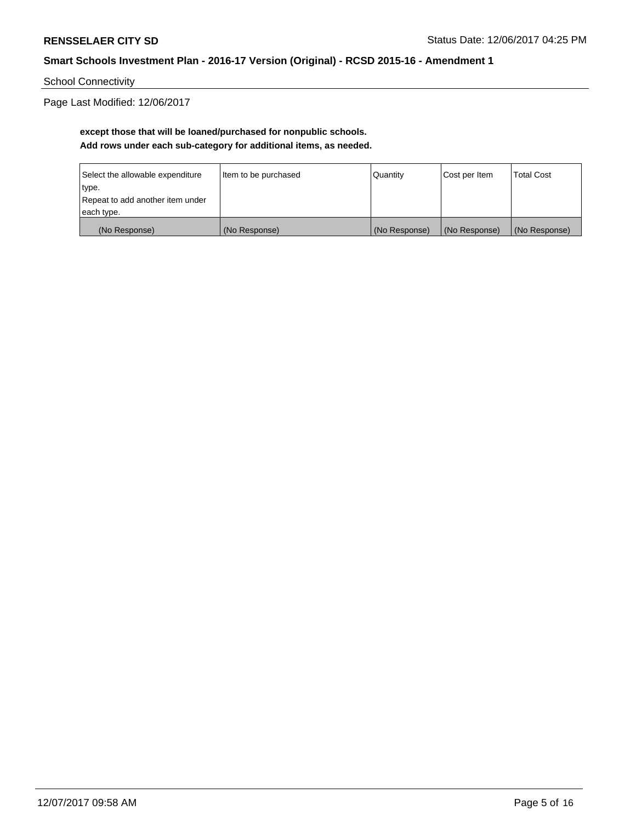School Connectivity

Page Last Modified: 12/06/2017

# **except those that will be loaned/purchased for nonpublic schools. Add rows under each sub-category for additional items, as needed.**

| Select the allowable expenditure | Item to be purchased | Quantity      | Cost per Item | <b>Total Cost</b> |
|----------------------------------|----------------------|---------------|---------------|-------------------|
| type.                            |                      |               |               |                   |
| Repeat to add another item under |                      |               |               |                   |
| each type.                       |                      |               |               |                   |
| (No Response)                    | (No Response)        | (No Response) | (No Response) | (No Response)     |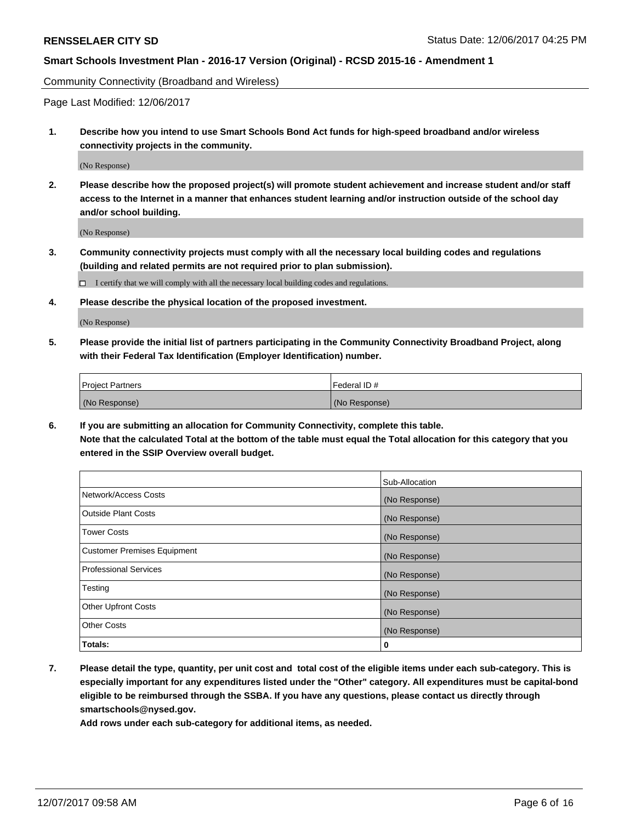Community Connectivity (Broadband and Wireless)

Page Last Modified: 12/06/2017

**1. Describe how you intend to use Smart Schools Bond Act funds for high-speed broadband and/or wireless connectivity projects in the community.**

(No Response)

**2. Please describe how the proposed project(s) will promote student achievement and increase student and/or staff access to the Internet in a manner that enhances student learning and/or instruction outside of the school day and/or school building.**

(No Response)

- **3. Community connectivity projects must comply with all the necessary local building codes and regulations (building and related permits are not required prior to plan submission).**
	- $\Box$  I certify that we will comply with all the necessary local building codes and regulations.
- **4. Please describe the physical location of the proposed investment.**

(No Response)

**5. Please provide the initial list of partners participating in the Community Connectivity Broadband Project, along with their Federal Tax Identification (Employer Identification) number.**

| <b>Project Partners</b> | l Federal ID # |
|-------------------------|----------------|
| (No Response)           | (No Response)  |

**6. If you are submitting an allocation for Community Connectivity, complete this table. Note that the calculated Total at the bottom of the table must equal the Total allocation for this category that you entered in the SSIP Overview overall budget.**

|                                    | Sub-Allocation |
|------------------------------------|----------------|
| Network/Access Costs               | (No Response)  |
| <b>Outside Plant Costs</b>         | (No Response)  |
| <b>Tower Costs</b>                 | (No Response)  |
| <b>Customer Premises Equipment</b> | (No Response)  |
| <b>Professional Services</b>       | (No Response)  |
| Testing                            | (No Response)  |
| <b>Other Upfront Costs</b>         | (No Response)  |
| <b>Other Costs</b>                 | (No Response)  |
| Totals:                            | 0              |

**7. Please detail the type, quantity, per unit cost and total cost of the eligible items under each sub-category. This is especially important for any expenditures listed under the "Other" category. All expenditures must be capital-bond eligible to be reimbursed through the SSBA. If you have any questions, please contact us directly through smartschools@nysed.gov.**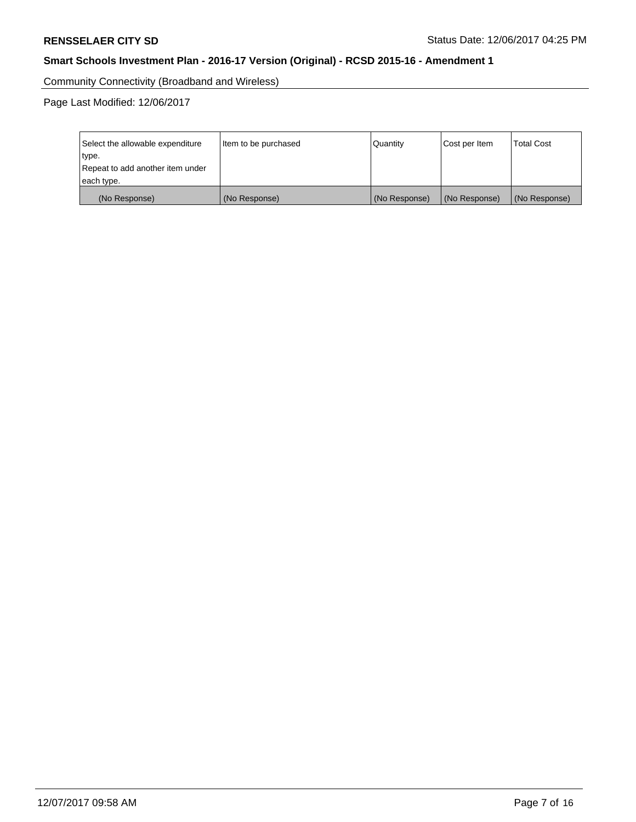Community Connectivity (Broadband and Wireless)

Page Last Modified: 12/06/2017

| Select the allowable expenditure<br>type.<br>Repeat to add another item under<br>each type. | Item to be purchased | Quantity      | Cost per Item | <b>Total Cost</b> |
|---------------------------------------------------------------------------------------------|----------------------|---------------|---------------|-------------------|
| (No Response)                                                                               | (No Response)        | (No Response) | (No Response) | (No Response)     |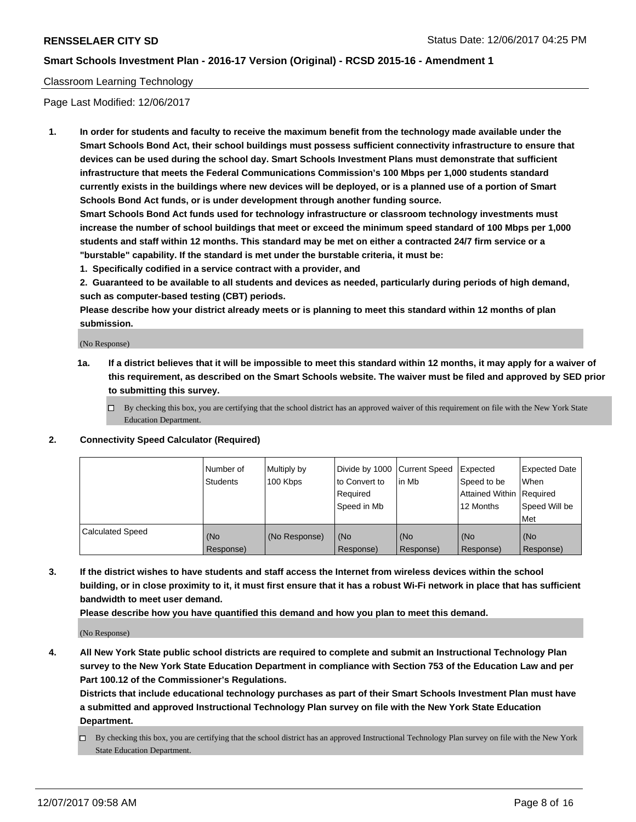### Classroom Learning Technology

Page Last Modified: 12/06/2017

**1. In order for students and faculty to receive the maximum benefit from the technology made available under the Smart Schools Bond Act, their school buildings must possess sufficient connectivity infrastructure to ensure that devices can be used during the school day. Smart Schools Investment Plans must demonstrate that sufficient infrastructure that meets the Federal Communications Commission's 100 Mbps per 1,000 students standard currently exists in the buildings where new devices will be deployed, or is a planned use of a portion of Smart Schools Bond Act funds, or is under development through another funding source.**

**Smart Schools Bond Act funds used for technology infrastructure or classroom technology investments must increase the number of school buildings that meet or exceed the minimum speed standard of 100 Mbps per 1,000 students and staff within 12 months. This standard may be met on either a contracted 24/7 firm service or a "burstable" capability. If the standard is met under the burstable criteria, it must be:**

**1. Specifically codified in a service contract with a provider, and**

**2. Guaranteed to be available to all students and devices as needed, particularly during periods of high demand, such as computer-based testing (CBT) periods.**

**Please describe how your district already meets or is planning to meet this standard within 12 months of plan submission.**

(No Response)

- **1a. If a district believes that it will be impossible to meet this standard within 12 months, it may apply for a waiver of this requirement, as described on the Smart Schools website. The waiver must be filed and approved by SED prior to submitting this survey.**
	- $\Box$  By checking this box, you are certifying that the school district has an approved waiver of this requirement on file with the New York State Education Department.
- **2. Connectivity Speed Calculator (Required)**

|                         | Number of<br><b>Students</b> | Multiply by<br>100 Kbps | Divide by 1000 Current Speed<br>to Convert to<br>Reauired<br>Speed in Mb | l in Mb          | Expected<br>Speed to be<br>Attained Within   Required<br>12 Months | Expected Date<br>When<br>Speed Will be<br>Met |
|-------------------------|------------------------------|-------------------------|--------------------------------------------------------------------------|------------------|--------------------------------------------------------------------|-----------------------------------------------|
| <b>Calculated Speed</b> | (No<br>Response)             | (No Response)           | (No<br>Response)                                                         | (No<br>Response) | (No<br>Response)                                                   | (No<br>Response)                              |

**3. If the district wishes to have students and staff access the Internet from wireless devices within the school building, or in close proximity to it, it must first ensure that it has a robust Wi-Fi network in place that has sufficient bandwidth to meet user demand.**

**Please describe how you have quantified this demand and how you plan to meet this demand.**

(No Response)

**4. All New York State public school districts are required to complete and submit an Instructional Technology Plan survey to the New York State Education Department in compliance with Section 753 of the Education Law and per Part 100.12 of the Commissioner's Regulations.**

**Districts that include educational technology purchases as part of their Smart Schools Investment Plan must have a submitted and approved Instructional Technology Plan survey on file with the New York State Education Department.**

By checking this box, you are certifying that the school district has an approved Instructional Technology Plan survey on file with the New York State Education Department.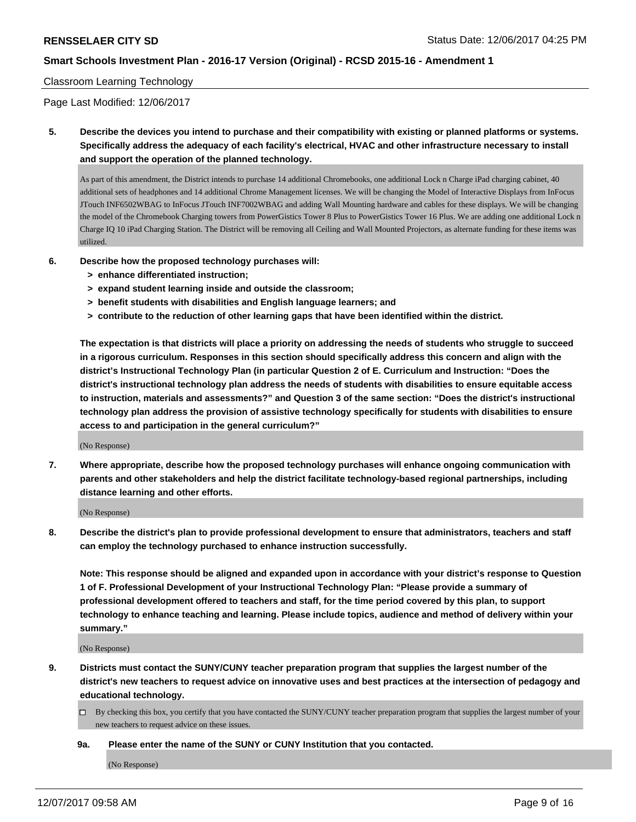#### Classroom Learning Technology

Page Last Modified: 12/06/2017

**5. Describe the devices you intend to purchase and their compatibility with existing or planned platforms or systems. Specifically address the adequacy of each facility's electrical, HVAC and other infrastructure necessary to install and support the operation of the planned technology.**

As part of this amendment, the District intends to purchase 14 additional Chromebooks, one additional Lock n Charge iPad charging cabinet, 40 additional sets of headphones and 14 additional Chrome Management licenses. We will be changing the Model of Interactive Displays from InFocus JTouch INF6502WBAG to InFocus JTouch INF7002WBAG and adding Wall Mounting hardware and cables for these displays. We will be changing the model of the Chromebook Charging towers from PowerGistics Tower 8 Plus to PowerGistics Tower 16 Plus. We are adding one additional Lock n Charge IQ 10 iPad Charging Station. The District will be removing all Ceiling and Wall Mounted Projectors, as alternate funding for these items was utilized.

- **6. Describe how the proposed technology purchases will:**
	- **> enhance differentiated instruction;**
	- **> expand student learning inside and outside the classroom;**
	- **> benefit students with disabilities and English language learners; and**
	- **> contribute to the reduction of other learning gaps that have been identified within the district.**

**The expectation is that districts will place a priority on addressing the needs of students who struggle to succeed in a rigorous curriculum. Responses in this section should specifically address this concern and align with the district's Instructional Technology Plan (in particular Question 2 of E. Curriculum and Instruction: "Does the district's instructional technology plan address the needs of students with disabilities to ensure equitable access to instruction, materials and assessments?" and Question 3 of the same section: "Does the district's instructional technology plan address the provision of assistive technology specifically for students with disabilities to ensure access to and participation in the general curriculum?"**

(No Response)

**7. Where appropriate, describe how the proposed technology purchases will enhance ongoing communication with parents and other stakeholders and help the district facilitate technology-based regional partnerships, including distance learning and other efforts.**

(No Response)

**8. Describe the district's plan to provide professional development to ensure that administrators, teachers and staff can employ the technology purchased to enhance instruction successfully.**

**Note: This response should be aligned and expanded upon in accordance with your district's response to Question 1 of F. Professional Development of your Instructional Technology Plan: "Please provide a summary of professional development offered to teachers and staff, for the time period covered by this plan, to support technology to enhance teaching and learning. Please include topics, audience and method of delivery within your summary."**

(No Response)

**9. Districts must contact the SUNY/CUNY teacher preparation program that supplies the largest number of the district's new teachers to request advice on innovative uses and best practices at the intersection of pedagogy and educational technology.**

By checking this box, you certify that you have contacted the SUNY/CUNY teacher preparation program that supplies the largest number of your new teachers to request advice on these issues.

**9a. Please enter the name of the SUNY or CUNY Institution that you contacted.**

(No Response)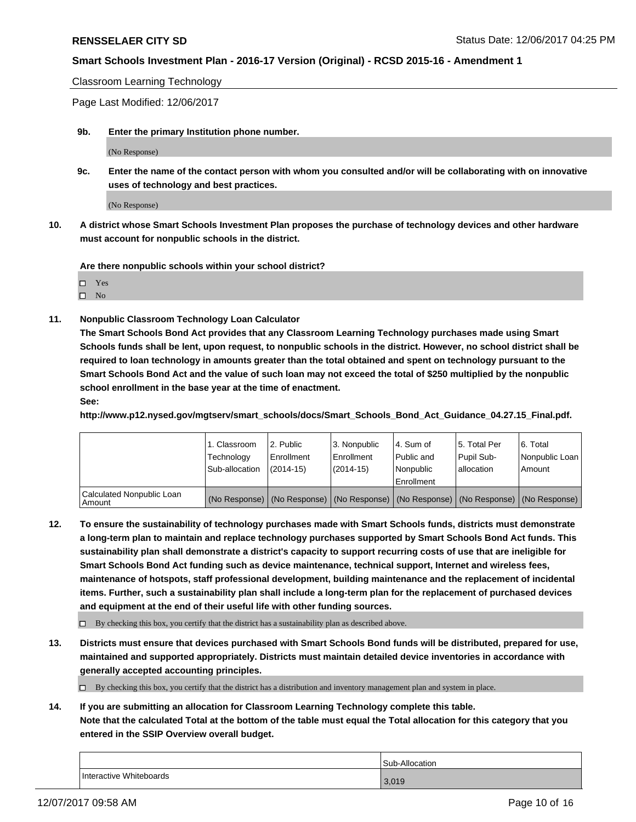Classroom Learning Technology

Page Last Modified: 12/06/2017

**9b. Enter the primary Institution phone number.**

(No Response)

**9c. Enter the name of the contact person with whom you consulted and/or will be collaborating with on innovative uses of technology and best practices.**

(No Response)

**10. A district whose Smart Schools Investment Plan proposes the purchase of technology devices and other hardware must account for nonpublic schools in the district.**

**Are there nonpublic schools within your school district?**

| ٠ |
|---|
|   |

 $\square$  No

**11. Nonpublic Classroom Technology Loan Calculator**

**The Smart Schools Bond Act provides that any Classroom Learning Technology purchases made using Smart Schools funds shall be lent, upon request, to nonpublic schools in the district. However, no school district shall be required to loan technology in amounts greater than the total obtained and spent on technology pursuant to the Smart Schools Bond Act and the value of such loan may not exceed the total of \$250 multiplied by the nonpublic school enrollment in the base year at the time of enactment.**

**See:**

**http://www.p12.nysed.gov/mgtserv/smart\_schools/docs/Smart\_Schools\_Bond\_Act\_Guidance\_04.27.15\_Final.pdf.**

|                                       | 1. Classroom<br>Technology<br>Sub-allocation | 12. Public<br>l Enrollment<br>$(2014-15)$ | l 3. Nonpublic<br>l Enrollment<br>(2014-15) | l 4. Sum of<br>Public and<br>l Nonpublic<br>Enrollment | 15. Total Per<br>Pupil Sub-<br>I allocation | 6. Total<br>Nonpublic Loan  <br>Amount                                                        |
|---------------------------------------|----------------------------------------------|-------------------------------------------|---------------------------------------------|--------------------------------------------------------|---------------------------------------------|-----------------------------------------------------------------------------------------------|
| Calculated Nonpublic Loan<br>l Amount |                                              |                                           |                                             |                                                        |                                             | (No Response)   (No Response)   (No Response)   (No Response)   (No Response)   (No Response) |

**12. To ensure the sustainability of technology purchases made with Smart Schools funds, districts must demonstrate a long-term plan to maintain and replace technology purchases supported by Smart Schools Bond Act funds. This sustainability plan shall demonstrate a district's capacity to support recurring costs of use that are ineligible for Smart Schools Bond Act funding such as device maintenance, technical support, Internet and wireless fees, maintenance of hotspots, staff professional development, building maintenance and the replacement of incidental items. Further, such a sustainability plan shall include a long-term plan for the replacement of purchased devices and equipment at the end of their useful life with other funding sources.**

 $\Box$  By checking this box, you certify that the district has a sustainability plan as described above.

**13. Districts must ensure that devices purchased with Smart Schools Bond funds will be distributed, prepared for use, maintained and supported appropriately. Districts must maintain detailed device inventories in accordance with generally accepted accounting principles.**

 $\Box$  By checking this box, you certify that the district has a distribution and inventory management plan and system in place.

**14. If you are submitting an allocation for Classroom Learning Technology complete this table.**

**Note that the calculated Total at the bottom of the table must equal the Total allocation for this category that you entered in the SSIP Overview overall budget.**

|                         | Sub-Allocation |
|-------------------------|----------------|
| Interactive Whiteboards | 3,019          |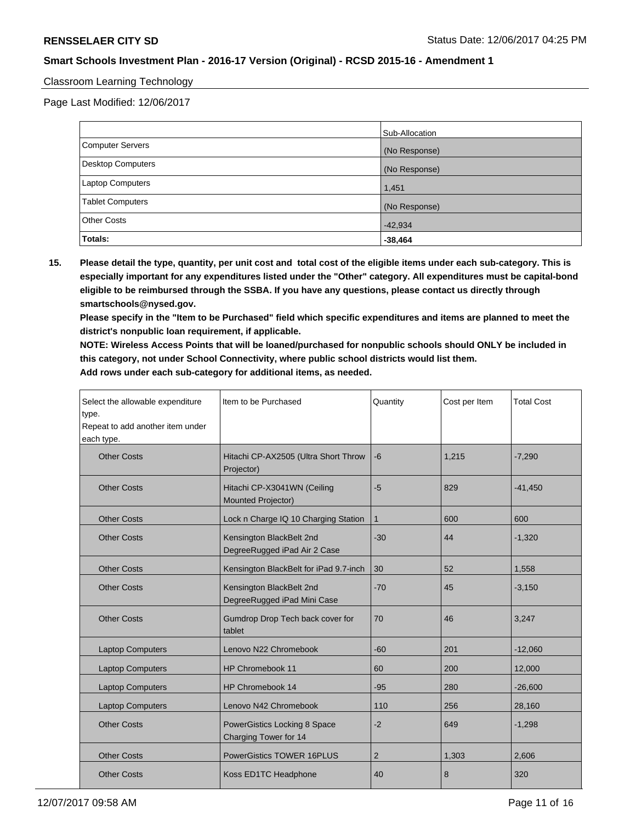### Classroom Learning Technology

Page Last Modified: 12/06/2017

|                          | Sub-Allocation |
|--------------------------|----------------|
| <b>Computer Servers</b>  | (No Response)  |
| <b>Desktop Computers</b> | (No Response)  |
| <b>Laptop Computers</b>  | 1,451          |
| <b>Tablet Computers</b>  | (No Response)  |
| <b>Other Costs</b>       | $-42,934$      |
| Totals:                  | $-38,464$      |

**15. Please detail the type, quantity, per unit cost and total cost of the eligible items under each sub-category. This is especially important for any expenditures listed under the "Other" category. All expenditures must be capital-bond eligible to be reimbursed through the SSBA. If you have any questions, please contact us directly through smartschools@nysed.gov.**

**Please specify in the "Item to be Purchased" field which specific expenditures and items are planned to meet the district's nonpublic loan requirement, if applicable.**

**NOTE: Wireless Access Points that will be loaned/purchased for nonpublic schools should ONLY be included in this category, not under School Connectivity, where public school districts would list them. Add rows under each sub-category for additional items, as needed.**

| Select the allowable expenditure<br>type.<br>Repeat to add another item under<br>each type. | Item to be Purchased                                     | Quantity       | Cost per Item | <b>Total Cost</b> |
|---------------------------------------------------------------------------------------------|----------------------------------------------------------|----------------|---------------|-------------------|
| <b>Other Costs</b>                                                                          | Hitachi CP-AX2505 (Ultra Short Throw<br>Projector)       | $-6$           | 1.215         | $-7,290$          |
| <b>Other Costs</b>                                                                          | Hitachi CP-X3041WN (Ceiling<br>Mounted Projector)        | $-5$           | 829           | $-41,450$         |
| <b>Other Costs</b>                                                                          | Lock n Charge IQ 10 Charging Station                     | $\mathbf{1}$   | 600           | 600               |
| <b>Other Costs</b>                                                                          | Kensington BlackBelt 2nd<br>DegreeRugged iPad Air 2 Case | $-30$          | 44            | $-1,320$          |
| <b>Other Costs</b>                                                                          | Kensington BlackBelt for iPad 9.7-inch                   | 30             | 52            | 1,558             |
| <b>Other Costs</b>                                                                          | Kensington BlackBelt 2nd<br>DegreeRugged iPad Mini Case  | $-70$          | 45            | $-3,150$          |
| <b>Other Costs</b>                                                                          | Gumdrop Drop Tech back cover for<br>tablet               | 70             | 46            | 3,247             |
| <b>Laptop Computers</b>                                                                     | Lenovo N22 Chromebook                                    | $-60$          | 201           | $-12,060$         |
| <b>Laptop Computers</b>                                                                     | HP Chromebook 11                                         | 60             | 200           | 12,000            |
| <b>Laptop Computers</b>                                                                     | HP Chromebook 14                                         | $-95$          | 280           | $-26,600$         |
| <b>Laptop Computers</b>                                                                     | Lenovo N42 Chromebook                                    | 110            | 256           | 28,160            |
| <b>Other Costs</b>                                                                          | PowerGistics Locking 8 Space<br>Charging Tower for 14    | $-2$           | 649           | $-1,298$          |
| <b>Other Costs</b>                                                                          | <b>PowerGistics TOWER 16PLUS</b>                         | $\overline{2}$ | 1,303         | 2,606             |
| <b>Other Costs</b>                                                                          | Koss ED1TC Headphone                                     | 40             | 8             | 320               |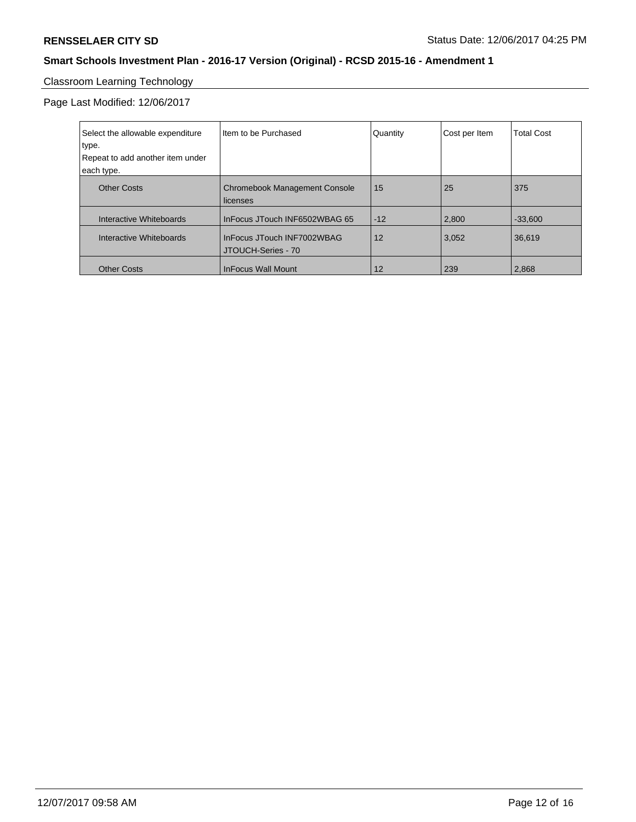# Classroom Learning Technology

Page Last Modified: 12/06/2017

| Select the allowable expenditure<br>type.<br>Repeat to add another item under<br>each type. | I Item to be Purchased                           | Quantity | Cost per Item | <b>Total Cost</b> |
|---------------------------------------------------------------------------------------------|--------------------------------------------------|----------|---------------|-------------------|
| <b>Other Costs</b>                                                                          | <b>Chromebook Management Console</b><br>licenses | 15       | 25            | 375               |
| Interactive Whiteboards                                                                     | InFocus JTouch INF6502WBAG 65                    | $-12$    | 2,800         | $-33,600$         |
| Interactive Whiteboards                                                                     | InFocus JTouch INF7002WBAG<br>JTOUCH-Series - 70 | 12       | 3,052         | 36,619            |
| <b>Other Costs</b>                                                                          | <b>InFocus Wall Mount</b>                        | 12       | 239           | 2,868             |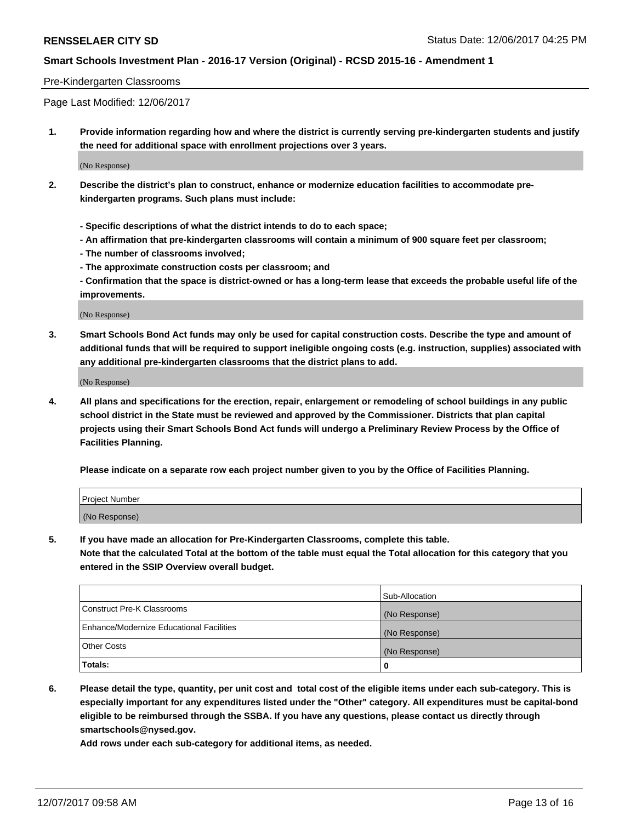#### Pre-Kindergarten Classrooms

Page Last Modified: 12/06/2017

**1. Provide information regarding how and where the district is currently serving pre-kindergarten students and justify the need for additional space with enrollment projections over 3 years.**

(No Response)

- **2. Describe the district's plan to construct, enhance or modernize education facilities to accommodate prekindergarten programs. Such plans must include:**
	- **Specific descriptions of what the district intends to do to each space;**
	- **An affirmation that pre-kindergarten classrooms will contain a minimum of 900 square feet per classroom;**
	- **The number of classrooms involved;**
	- **The approximate construction costs per classroom; and**

**- Confirmation that the space is district-owned or has a long-term lease that exceeds the probable useful life of the improvements.**

(No Response)

**3. Smart Schools Bond Act funds may only be used for capital construction costs. Describe the type and amount of additional funds that will be required to support ineligible ongoing costs (e.g. instruction, supplies) associated with any additional pre-kindergarten classrooms that the district plans to add.**

(No Response)

**4. All plans and specifications for the erection, repair, enlargement or remodeling of school buildings in any public school district in the State must be reviewed and approved by the Commissioner. Districts that plan capital projects using their Smart Schools Bond Act funds will undergo a Preliminary Review Process by the Office of Facilities Planning.**

**Please indicate on a separate row each project number given to you by the Office of Facilities Planning.**

| Project Number |  |
|----------------|--|
| (No Response)  |  |

**5. If you have made an allocation for Pre-Kindergarten Classrooms, complete this table.**

**Note that the calculated Total at the bottom of the table must equal the Total allocation for this category that you entered in the SSIP Overview overall budget.**

|                                          | Sub-Allocation |
|------------------------------------------|----------------|
| Construct Pre-K Classrooms               | (No Response)  |
| Enhance/Modernize Educational Facilities | (No Response)  |
| <b>Other Costs</b>                       | (No Response)  |
| <b>Totals:</b>                           | 0              |

**6. Please detail the type, quantity, per unit cost and total cost of the eligible items under each sub-category. This is especially important for any expenditures listed under the "Other" category. All expenditures must be capital-bond eligible to be reimbursed through the SSBA. If you have any questions, please contact us directly through smartschools@nysed.gov.**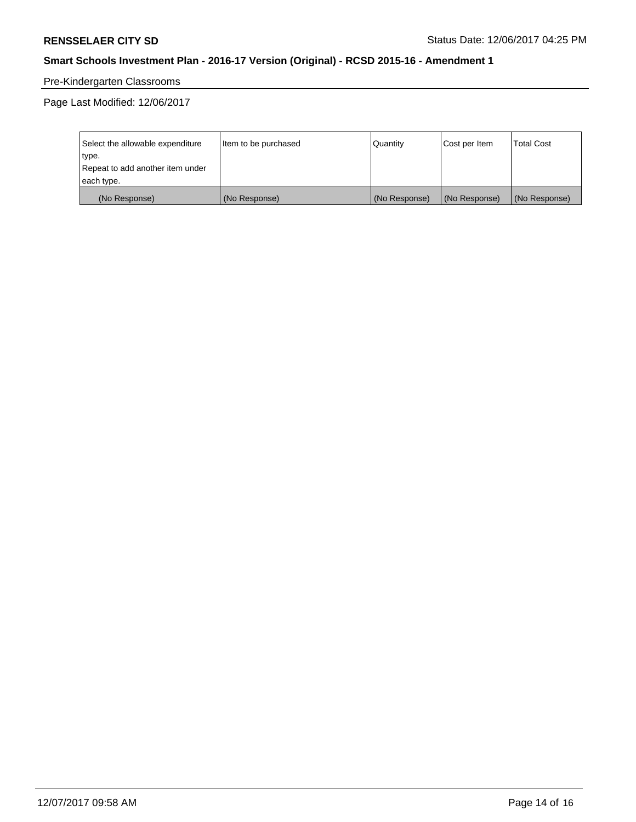# Pre-Kindergarten Classrooms

Page Last Modified: 12/06/2017

| Select the allowable expenditure | Item to be purchased | Quantity      | Cost per Item | <b>Total Cost</b> |
|----------------------------------|----------------------|---------------|---------------|-------------------|
| type.                            |                      |               |               |                   |
| Repeat to add another item under |                      |               |               |                   |
| each type.                       |                      |               |               |                   |
| (No Response)                    | (No Response)        | (No Response) | (No Response) | (No Response)     |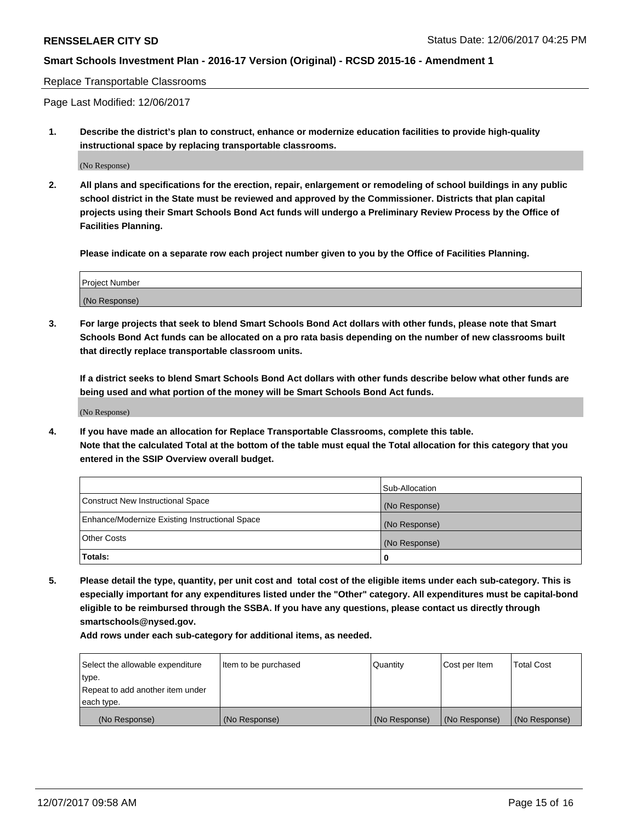#### Replace Transportable Classrooms

Page Last Modified: 12/06/2017

**1. Describe the district's plan to construct, enhance or modernize education facilities to provide high-quality instructional space by replacing transportable classrooms.**

(No Response)

**2. All plans and specifications for the erection, repair, enlargement or remodeling of school buildings in any public school district in the State must be reviewed and approved by the Commissioner. Districts that plan capital projects using their Smart Schools Bond Act funds will undergo a Preliminary Review Process by the Office of Facilities Planning.**

**Please indicate on a separate row each project number given to you by the Office of Facilities Planning.**

| <b>Project Number</b> |  |
|-----------------------|--|
| (No Response)         |  |

**3. For large projects that seek to blend Smart Schools Bond Act dollars with other funds, please note that Smart Schools Bond Act funds can be allocated on a pro rata basis depending on the number of new classrooms built that directly replace transportable classroom units.**

**If a district seeks to blend Smart Schools Bond Act dollars with other funds describe below what other funds are being used and what portion of the money will be Smart Schools Bond Act funds.**

(No Response)

**4. If you have made an allocation for Replace Transportable Classrooms, complete this table. Note that the calculated Total at the bottom of the table must equal the Total allocation for this category that you entered in the SSIP Overview overall budget.**

|                                                | Sub-Allocation |
|------------------------------------------------|----------------|
| Construct New Instructional Space              | (No Response)  |
| Enhance/Modernize Existing Instructional Space | (No Response)  |
| <b>Other Costs</b>                             | (No Response)  |
| Totals:                                        | 0              |

**5. Please detail the type, quantity, per unit cost and total cost of the eligible items under each sub-category. This is especially important for any expenditures listed under the "Other" category. All expenditures must be capital-bond eligible to be reimbursed through the SSBA. If you have any questions, please contact us directly through smartschools@nysed.gov.**

| Select the allowable expenditure<br>type.<br>Repeat to add another item under<br>each type. | Item to be purchased | Quantity      | Cost per Item | <b>Total Cost</b> |
|---------------------------------------------------------------------------------------------|----------------------|---------------|---------------|-------------------|
|                                                                                             |                      |               |               |                   |
| (No Response)                                                                               | (No Response)        | (No Response) | (No Response) | (No Response)     |